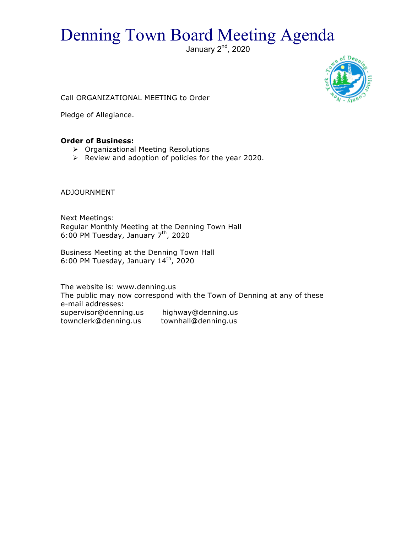# Denning Town Board Meeting Agenda

January 2<sup>nd</sup>, 2020



Call ORGANIZATIONAL MEETING to Order

Pledge of Allegiance.

## **Order of Business:**

- > Organizational Meeting Resolutions
- $\triangleright$  Review and adoption of policies for the year 2020.

ADJOURNMENT

Next Meetings: Regular Monthly Meeting at the Denning Town Hall 6:00 PM Tuesday, January 7th, 2020

Business Meeting at the Denning Town Hall 6:00 PM Tuesday, January  $14^{\text{th}}$ , 2020

The website is: www.denning.us The public may now correspond with the Town of Denning at any of these e-mail addresses: supervisor@denning.us highway@denning.us townclerk@denning.us townhall@denning.us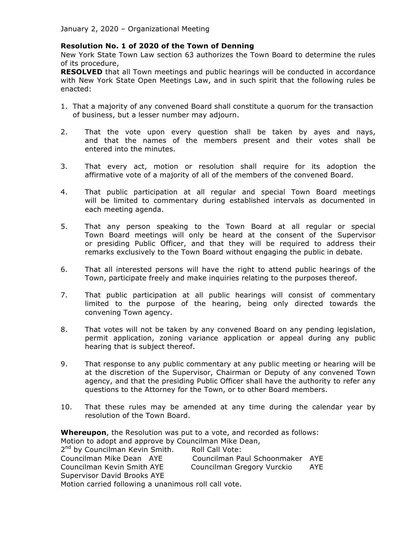#### **Resolution No. 1 of 2020 of the Town of Denning**

New York State Town Law section 63 authorizes the Town Board to determine the rules of its procedure,

**RESOLVED** that all Town meetings and public hearings will be conducted in accordance with New York State Open Meetings Law, and in such spirit that the following rules be enacted:

- 1. That a majority of any convened Board shall constitute a quorum for the transaction of business, but a lesser number may adjourn.
- 2. That the vote upon every question shall be taken by ayes and nays, and that the names of the members present and their votes shall be entered into the minutes.
- 3. That every act, motion or resolution shall require for its adoption the affirmative vote of a majority of all of the members of the convened Board.
- 4. That public participation at all regular and special Town Board meetings will be limited to commentary during established intervals as documented in each meeting agenda.
- 5. That any person speaking to the Town Board at all regular or special Town Board meetings will only be heard at the consent of the Supervisor or presiding Public Officer, and that they will be required to address their remarks exclusively to the Town Board without engaging the public in debate.
- 6. That all interested persons will have the right to attend public hearings of the Town, participate freely and make inquiries relating to the purposes thereof.
- 7. That public participation at all public hearings will consist of commentary limited to the purpose of the hearing, being only directed towards the convening Town agency.
- 8. That votes will not be taken by any convened Board on any pending legislation, permit application, zoning variance application or appeal during any public hearing that is subject thereof.
- 9. That response to any public commentary at any public meeting or hearing will be at the discretion of the Supervisor, Chairman or Deputy of any convened Town agency, and that the presiding Public Officer shall have the authority to refer any questions to the Attorney for the Town, or to other Board members.
- 10. That these rules may be amended at any time during the calendar year by resolution of the Town Board.

**Whereupon**, the Resolution was put to a vote, and recorded as follows: Motion to adopt and approve by Councilman Mike Dean, 2<sup>nd</sup> by Councilman Kevin Smith. Roll Call Vote: Councilman Mike Dean AYE Councilman Paul Schoonmaker AYE Councilman Kevin Smith AYE Councilman Gregory Vurckio AYE Supervisor David Brooks AYE Motion carried following a unanimous roll call vote.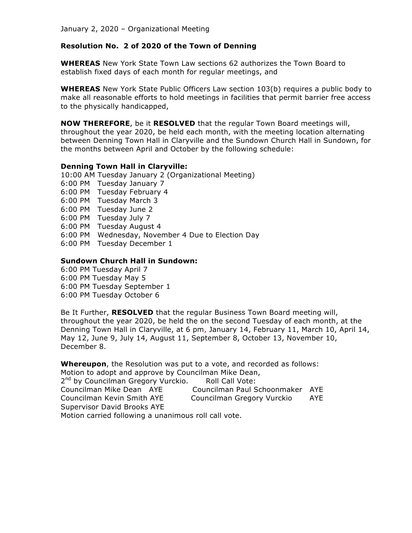## **Resolution No. 2 of 2020 of the Town of Denning**

**WHEREAS** New York State Town Law sections 62 authorizes the Town Board to establish fixed days of each month for regular meetings, and

**WHEREAS** New York State Public Officers Law section 103(b) requires a public body to make all reasonable efforts to hold meetings in facilities that permit barrier free access to the physically handicapped,

**NOW THEREFORE**, be it **RESOLVED** that the regular Town Board meetings will, throughout the year 2020, be held each month, with the meeting location alternating between Denning Town Hall in Claryville and the Sundown Church Hall in Sundown, for the months between April and October by the following schedule:

#### **Denning Town Hall in Claryville:**

10:00 AM Tuesday January 2 (Organizational Meeting)

- 6:00 PM Tuesday January 7
- 6:00 PM Tuesday February 4
- 6:00 PM Tuesday March 3
- 6:00 PM Tuesday June 2
- 6:00 PM Tuesday July 7
- 6:00 PM Tuesday August 4
- 6:00 PM Wednesday, November 4 Due to Election Day
- 6:00 PM Tuesday December 1

#### **Sundown Church Hall in Sundown:**

- 6:00 PM Tuesday April 7
- 6:00 PM Tuesday May 5
- 6:00 PM Tuesday September 1
- 6:00 PM Tuesday October 6

Be It Further, **RESOLVED** that the regular Business Town Board meeting will, throughout the year 2020, be held the on the second Tuesday of each month, at the Denning Town Hall in Claryville, at 6 pm, January 14, February 11, March 10, April 14, May 12, June 9, July 14, August 11, September 8, October 13, November 10, December 8.

**Whereupon**, the Resolution was put to a vote, and recorded as follows:

Motion to adopt and approve by Councilman Mike Dean,

| 2 <sup>nd</sup> by Councilman Gregory Vurckio.       | Roll Call Vote:                 |     |
|------------------------------------------------------|---------------------------------|-----|
| Councilman Mike Dean AYE                             | Councilman Paul Schoonmaker AYE |     |
| Councilman Kevin Smith AYE                           | Councilman Gregory Vurckio      | AYE |
| Supervisor David Brooks AYE                          |                                 |     |
| Motion carried following a unanimous roll call vote. |                                 |     |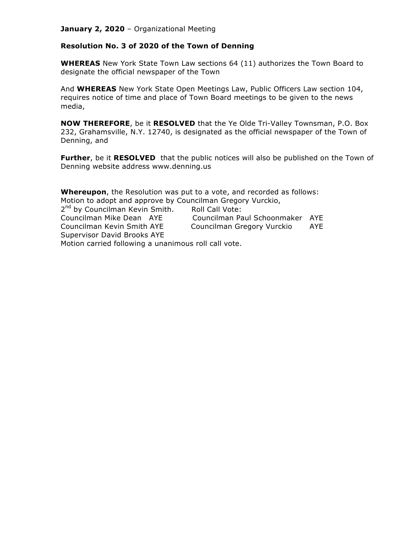#### **Resolution No. 3 of 2020 of the Town of Denning**

**WHEREAS** New York State Town Law sections 64 (11) authorizes the Town Board to designate the official newspaper of the Town

And **WHEREAS** New York State Open Meetings Law, Public Officers Law section 104, requires notice of time and place of Town Board meetings to be given to the news media,

**NOW THEREFORE**, be it **RESOLVED** that the Ye Olde Tri-Valley Townsman, P.O. Box 232, Grahamsville, N.Y. 12740, is designated as the official newspaper of the Town of Denning, and

**Further**, be it **RESOLVED** that the public notices will also be published on the Town of Denning website address www.denning.us

**Whereupon**, the Resolution was put to a vote, and recorded as follows: Motion to adopt and approve by Councilman Gregory Vurckio, 2<sup>nd</sup> by Councilman Kevin Smith. Roll Call Vote: Councilman Mike Dean AYE Councilman Paul Schoonmaker AYE Councilman Kevin Smith AYE Councilman Gregory Vurckio AYE Supervisor David Brooks AYE Motion carried following a unanimous roll call vote.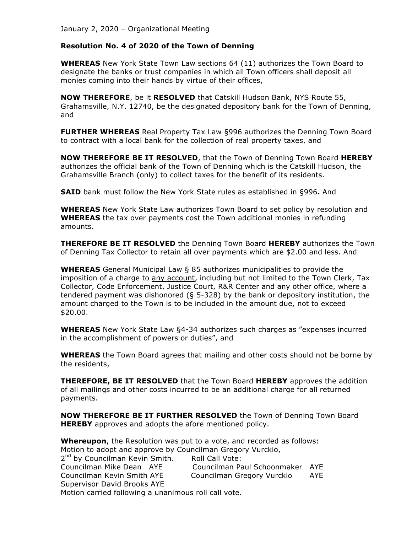#### **Resolution No. 4 of 2020 of the Town of Denning**

**WHEREAS** New York State Town Law sections 64 (11) authorizes the Town Board to designate the banks or trust companies in which all Town officers shall deposit all monies coming into their hands by virtue of their offices,

**NOW THEREFORE**, be it **RESOLVED** that Catskill Hudson Bank, NYS Route 55, Grahamsville, N.Y. 12740, be the designated depository bank for the Town of Denning, and

**FURTHER WHEREAS** Real Property Tax Law §996 authorizes the Denning Town Board to contract with a local bank for the collection of real property taxes, and

**NOW THEREFORE BE IT RESOLVED**, that the Town of Denning Town Board **HEREBY** authorizes the official bank of the Town of Denning which is the Catskill Hudson, the Grahamsville Branch (only) to collect taxes for the benefit of its residents.

**SAID** bank must follow the New York State rules as established in §996**.** And

**WHEREAS** New York State Law authorizes Town Board to set policy by resolution and **WHEREAS** the tax over payments cost the Town additional monies in refunding amounts.

**THEREFORE BE IT RESOLVED** the Denning Town Board **HEREBY** authorizes the Town of Denning Tax Collector to retain all over payments which are \$2.00 and less. And

**WHEREAS** General Municipal Law § 85 authorizes municipalities to provide the imposition of a charge to any account, including but not limited to the Town Clerk, Tax Collector, Code Enforcement, Justice Court, R&R Center and any other office, where a tendered payment was dishonored (§ 5-328) by the bank or depository institution, the amount charged to the Town is to be included in the amount due, not to exceed \$20.00.

**WHEREAS** New York State Law §4-34 authorizes such charges as "expenses incurred in the accomplishment of powers or duties", and

**WHEREAS** the Town Board agrees that mailing and other costs should not be borne by the residents,

**THEREFORE, BE IT RESOLVED** that the Town Board **HEREBY** approves the addition of all mailings and other costs incurred to be an additional charge for all returned payments.

**NOW THEREFORE BE IT FURTHER RESOLVED** the Town of Denning Town Board **HEREBY** approves and adopts the afore mentioned policy.

**Whereupon**, the Resolution was put to a vote, and recorded as follows: Motion to adopt and approve by Councilman Gregory Vurckio, 2<sup>nd</sup> by Councilman Kevin Smith. Roll Call Vote: Councilman Mike Dean AYE Councilman Paul Schoonmaker AYE

Councilman Kevin Smith AYE Councilman Gregory Vurckio AYE Supervisor David Brooks AYE

Motion carried following a unanimous roll call vote.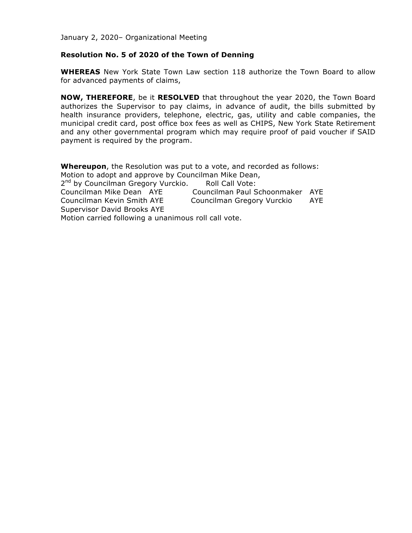#### **Resolution No. 5 of 2020 of the Town of Denning**

**WHEREAS** New York State Town Law section 118 authorize the Town Board to allow for advanced payments of claims,

**NOW, THEREFORE**, be it **RESOLVED** that throughout the year 2020, the Town Board authorizes the Supervisor to pay claims, in advance of audit, the bills submitted by health insurance providers, telephone, electric, gas, utility and cable companies, the municipal credit card, post office box fees as well as CHIPS, New York State Retirement and any other governmental program which may require proof of paid voucher if SAID payment is required by the program.

**Whereupon**, the Resolution was put to a vote, and recorded as follows: Motion to adopt and approve by Councilman Mike Dean, 2<sup>nd</sup> by Councilman Gregory Vurckio. Roll Call Vote: Councilman Mike Dean AYE Councilman Paul Schoonmaker AYE Councilman Kevin Smith AYE Councilman Gregory Vurckio AYE Supervisor David Brooks AYE Motion carried following a unanimous roll call vote.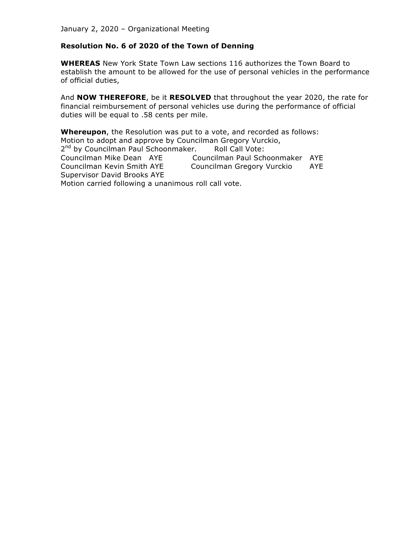#### **Resolution No. 6 of 2020 of the Town of Denning**

**WHEREAS** New York State Town Law sections 116 authorizes the Town Board to establish the amount to be allowed for the use of personal vehicles in the performance of official duties,

And **NOW THEREFORE**, be it **RESOLVED** that throughout the year 2020, the rate for financial reimbursement of personal vehicles use during the performance of official duties will be equal to .58 cents per mile.

**Whereupon**, the Resolution was put to a vote, and recorded as follows: Motion to adopt and approve by Councilman Gregory Vurckio, 2<sup>nd</sup> by Councilman Paul Schoonmaker. Roll Call Vote: Councilman Mike Dean AYE Councilman Paul Schoonmaker AYE Councilman Kevin Smith AYE Councilman Gregory Vurckio AYE Supervisor David Brooks AYE Motion carried following a unanimous roll call vote.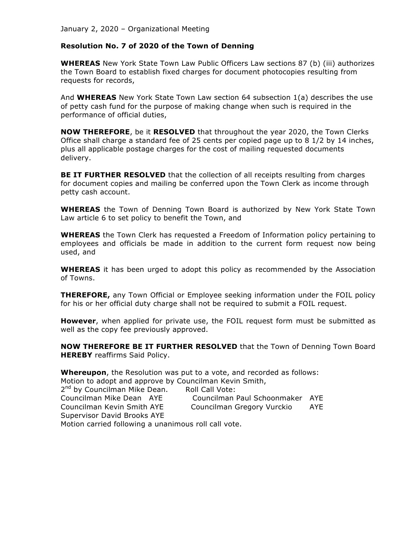#### **Resolution No. 7 of 2020 of the Town of Denning**

**WHEREAS** New York State Town Law Public Officers Law sections 87 (b) (iii) authorizes the Town Board to establish fixed charges for document photocopies resulting from requests for records,

And **WHEREAS** New York State Town Law section 64 subsection 1(a) describes the use of petty cash fund for the purpose of making change when such is required in the performance of official duties,

**NOW THEREFORE**, be it **RESOLVED** that throughout the year 2020, the Town Clerks Office shall charge a standard fee of 25 cents per copied page up to 8 1/2 by 14 inches, plus all applicable postage charges for the cost of mailing requested documents delivery.

**BE IT FURTHER RESOLVED** that the collection of all receipts resulting from charges for document copies and mailing be conferred upon the Town Clerk as income through petty cash account.

**WHEREAS** the Town of Denning Town Board is authorized by New York State Town Law article 6 to set policy to benefit the Town, and

**WHEREAS** the Town Clerk has requested a Freedom of Information policy pertaining to employees and officials be made in addition to the current form request now being used, and

**WHEREAS** it has been urged to adopt this policy as recommended by the Association of Towns.

**THEREFORE,** any Town Official or Employee seeking information under the FOIL policy for his or her official duty charge shall not be required to submit a FOIL request.

**However**, when applied for private use, the FOIL request form must be submitted as well as the copy fee previously approved.

**NOW THEREFORE BE IT FURTHER RESOLVED** that the Town of Denning Town Board **HEREBY** reaffirms Said Policy.

**Whereupon**, the Resolution was put to a vote, and recorded as follows: Motion to adopt and approve by Councilman Kevin Smith,

2<sup>nd</sup> by Councilman Mike Dean. Roll Call Vote: Councilman Mike Dean AYE Councilman Paul Schoonmaker AYE Councilman Kevin Smith AYE Councilman Gregory Vurckio AYE

Supervisor David Brooks AYE

Motion carried following a unanimous roll call vote.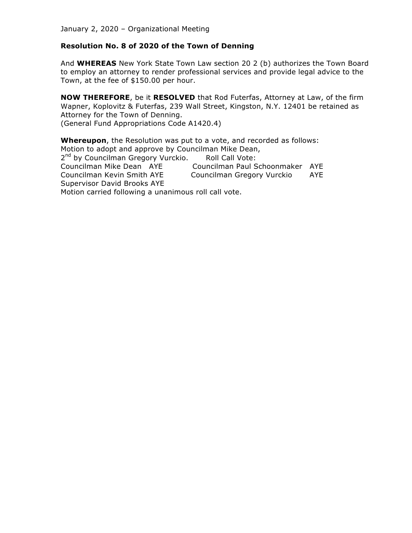#### **Resolution No. 8 of 2020 of the Town of Denning**

And **WHEREAS** New York State Town Law section 20 2 (b) authorizes the Town Board to employ an attorney to render professional services and provide legal advice to the Town, at the fee of \$150.00 per hour.

**NOW THEREFORE**, be it **RESOLVED** that Rod Futerfas, Attorney at Law, of the firm Wapner, Koplovitz & Futerfas, 239 Wall Street, Kingston, N.Y. 12401 be retained as Attorney for the Town of Denning. (General Fund Appropriations Code A1420.4)

**Whereupon**, the Resolution was put to a vote, and recorded as follows: Motion to adopt and approve by Councilman Mike Dean, 2<sup>nd</sup> by Councilman Gregory Vurckio. Roll Call Vote: Councilman Mike Dean AYE Councilman Paul Schoonmaker AYE Councilman Kevin Smith AYE Councilman Gregory Vurckio AYE Supervisor David Brooks AYE Motion carried following a unanimous roll call vote.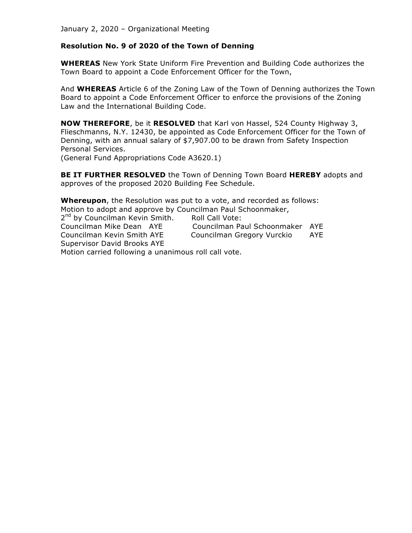#### **Resolution No. 9 of 2020 of the Town of Denning**

**WHEREAS** New York State Uniform Fire Prevention and Building Code authorizes the Town Board to appoint a Code Enforcement Officer for the Town,

And **WHEREAS** Article 6 of the Zoning Law of the Town of Denning authorizes the Town Board to appoint a Code Enforcement Officer to enforce the provisions of the Zoning Law and the International Building Code.

**NOW THEREFORE**, be it **RESOLVED** that Karl von Hassel, 524 County Highway 3, Flieschmanns, N.Y. 12430, be appointed as Code Enforcement Officer for the Town of Denning, with an annual salary of \$7,907.00 to be drawn from Safety Inspection Personal Services.

(General Fund Appropriations Code A3620.1)

**BE IT FURTHER RESOLVED** the Town of Denning Town Board **HEREBY** adopts and approves of the proposed 2020 Building Fee Schedule.

**Whereupon**, the Resolution was put to a vote, and recorded as follows: Motion to adopt and approve by Councilman Paul Schoonmaker, 2<sup>nd</sup> by Councilman Kevin Smith. Roll Call Vote: Councilman Mike Dean AYE Councilman Paul Schoonmaker AYE Councilman Kevin Smith AYE Councilman Gregory Vurckio AYE Supervisor David Brooks AYE Motion carried following a unanimous roll call vote.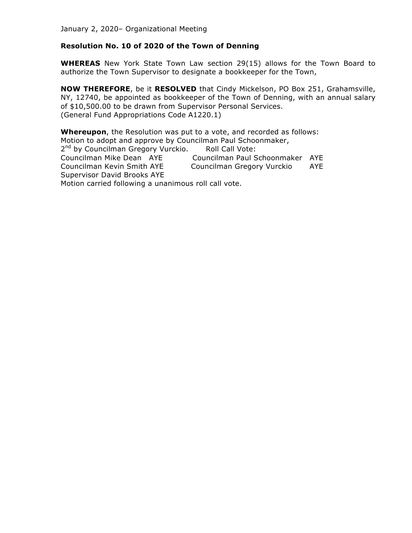#### **Resolution No. 10 of 2020 of the Town of Denning**

**WHEREAS** New York State Town Law section 29(15) allows for the Town Board to authorize the Town Supervisor to designate a bookkeeper for the Town,

**NOW THEREFORE**, be it **RESOLVED** that Cindy Mickelson, PO Box 251, Grahamsville, NY, 12740, be appointed as bookkeeper of the Town of Denning, with an annual salary of \$10,500.00 to be drawn from Supervisor Personal Services. (General Fund Appropriations Code A1220.1)

**Whereupon**, the Resolution was put to a vote, and recorded as follows: Motion to adopt and approve by Councilman Paul Schoonmaker, 2<sup>nd</sup> by Councilman Gregory Vurckio. Roll Call Vote: Councilman Mike Dean AYE Councilman Paul Schoonmaker AYE Councilman Kevin Smith AYE Councilman Gregory Vurckio AYE Supervisor David Brooks AYE Motion carried following a unanimous roll call vote.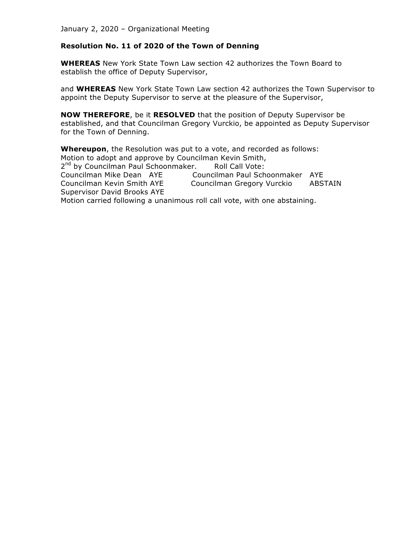#### **Resolution No. 11 of 2020 of the Town of Denning**

**WHEREAS** New York State Town Law section 42 authorizes the Town Board to establish the office of Deputy Supervisor,

and **WHEREAS** New York State Town Law section 42 authorizes the Town Supervisor to appoint the Deputy Supervisor to serve at the pleasure of the Supervisor,

**NOW THEREFORE**, be it **RESOLVED** that the position of Deputy Supervisor be established, and that Councilman Gregory Vurckio, be appointed as Deputy Supervisor for the Town of Denning.

**Whereupon**, the Resolution was put to a vote, and recorded as follows: Motion to adopt and approve by Councilman Kevin Smith, 2<sup>nd</sup> by Councilman Paul Schoonmaker. Roll Call Vote: Councilman Mike Dean AYE Councilman Paul Schoonmaker AYE Councilman Kevin Smith AYE Councilman Gregory Vurckio ABSTAIN Supervisor David Brooks AYE Motion carried following a unanimous roll call vote, with one abstaining.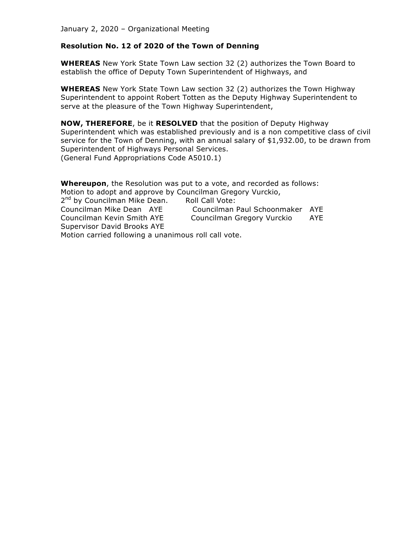#### **Resolution No. 12 of 2020 of the Town of Denning**

**WHEREAS** New York State Town Law section 32 (2) authorizes the Town Board to establish the office of Deputy Town Superintendent of Highways, and

**WHEREAS** New York State Town Law section 32 (2) authorizes the Town Highway Superintendent to appoint Robert Totten as the Deputy Highway Superintendent to serve at the pleasure of the Town Highway Superintendent,

**NOW, THEREFORE**, be it **RESOLVED** that the position of Deputy Highway Superintendent which was established previously and is a non competitive class of civil service for the Town of Denning, with an annual salary of \$1,932.00, to be drawn from Superintendent of Highways Personal Services. (General Fund Appropriations Code A5010.1)

**Whereupon**, the Resolution was put to a vote, and recorded as follows: Motion to adopt and approve by Councilman Gregory Vurckio, 2<sup>nd</sup> by Councilman Mike Dean. Roll Call Vote: Councilman Mike Dean AYE Councilman Paul Schoonmaker AYE Councilman Kevin Smith AYE Councilman Gregory Vurckio AYE Supervisor David Brooks AYE Motion carried following a unanimous roll call vote.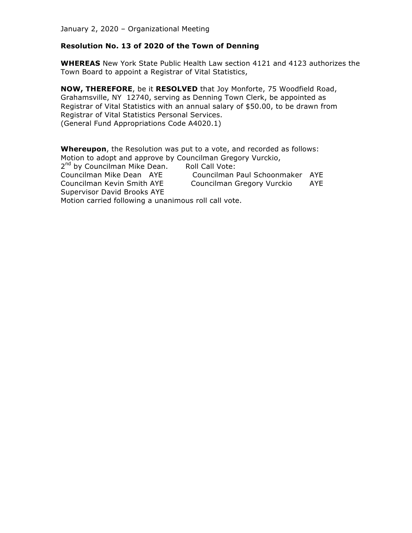#### **Resolution No. 13 of 2020 of the Town of Denning**

**WHEREAS** New York State Public Health Law section 4121 and 4123 authorizes the Town Board to appoint a Registrar of Vital Statistics,

**NOW, THEREFORE**, be it **RESOLVED** that Joy Monforte, 75 Woodfield Road, Grahamsville, NY 12740, serving as Denning Town Clerk, be appointed as Registrar of Vital Statistics with an annual salary of \$50.00, to be drawn from Registrar of Vital Statistics Personal Services. (General Fund Appropriations Code A4020.1)

**Whereupon**, the Resolution was put to a vote, and recorded as follows: Motion to adopt and approve by Councilman Gregory Vurckio, 2<sup>nd</sup> by Councilman Mike Dean. Roll Call Vote: Councilman Mike Dean AYE Councilman Paul Schoonmaker AYE Councilman Kevin Smith AYE Councilman Gregory Vurckio AYE Supervisor David Brooks AYE Motion carried following a unanimous roll call vote.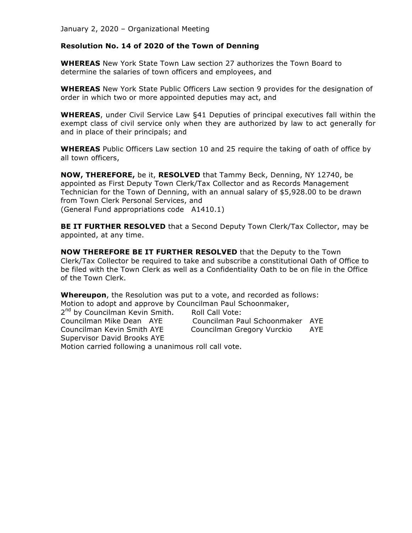#### **Resolution No. 14 of 2020 of the Town of Denning**

**WHEREAS** New York State Town Law section 27 authorizes the Town Board to determine the salaries of town officers and employees, and

**WHEREAS** New York State Public Officers Law section 9 provides for the designation of order in which two or more appointed deputies may act, and

**WHEREAS**, under Civil Service Law §41 Deputies of principal executives fall within the exempt class of civil service only when they are authorized by law to act generally for and in place of their principals; and

**WHEREAS** Public Officers Law section 10 and 25 require the taking of oath of office by all town officers,

**NOW, THEREFORE,** be it, **RESOLVED** that Tammy Beck, Denning, NY 12740, be appointed as First Deputy Town Clerk/Tax Collector and as Records Management Technician for the Town of Denning, with an annual salary of \$5,928.00 to be drawn from Town Clerk Personal Services, and (General Fund appropriations code A1410.1)

**BE IT FURTHER RESOLVED** that a Second Deputy Town Clerk/Tax Collector, may be appointed, at any time.

**NOW THEREFORE BE IT FURTHER RESOLVED** that the Deputy to the Town Clerk/Tax Collector be required to take and subscribe a constitutional Oath of Office to be filed with the Town Clerk as well as a Confidentiality Oath to be on file in the Office of the Town Clerk.

**Whereupon**, the Resolution was put to a vote, and recorded as follows: Motion to adopt and approve by Councilman Paul Schoonmaker,

| 2 <sup>nd</sup> by Councilman Kevin Smith.           | Roll Call Vote:                 |     |
|------------------------------------------------------|---------------------------------|-----|
| Councilman Mike Dean AYE                             | Councilman Paul Schoonmaker AYE |     |
| Councilman Kevin Smith AYE                           | Councilman Gregory Vurckio      | AYE |
| Supervisor David Brooks AYE                          |                                 |     |
| Motion carried following a unanimous roll call vote. |                                 |     |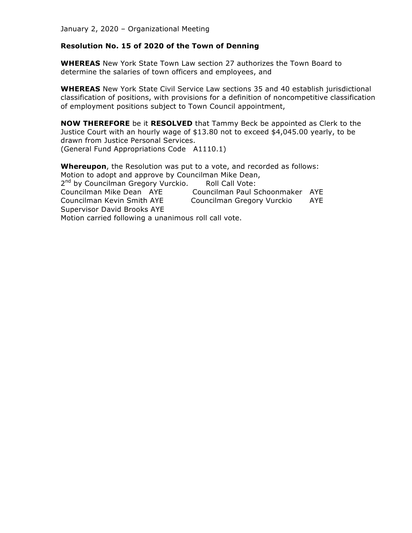#### **Resolution No. 15 of 2020 of the Town of Denning**

**WHEREAS** New York State Town Law section 27 authorizes the Town Board to determine the salaries of town officers and employees, and

**WHEREAS** New York State Civil Service Law sections 35 and 40 establish jurisdictional classification of positions, with provisions for a definition of noncompetitive classification of employment positions subject to Town Council appointment,

**NOW THEREFORE** be it **RESOLVED** that Tammy Beck be appointed as Clerk to the Justice Court with an hourly wage of \$13.80 not to exceed \$4,045.00 yearly, to be drawn from Justice Personal Services. (General Fund Appropriations Code A1110.1)

**Whereupon**, the Resolution was put to a vote, and recorded as follows: Motion to adopt and approve by Councilman Mike Dean, 2<sup>nd</sup> by Councilman Gregory Vurckio. Roll Call Vote: Councilman Mike Dean AYE Councilman Paul Schoonmaker AYE Councilman Kevin Smith AYE Councilman Gregory Vurckio AYE Supervisor David Brooks AYE Motion carried following a unanimous roll call vote.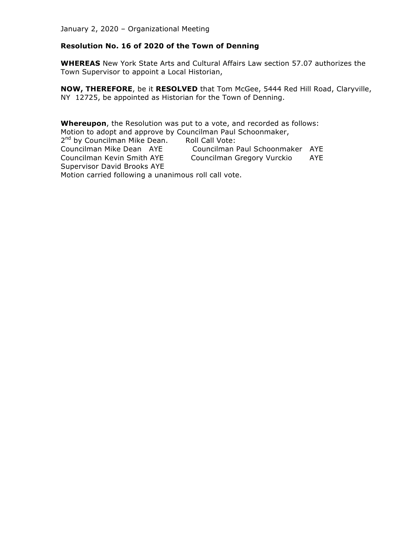#### **Resolution No. 16 of 2020 of the Town of Denning**

**WHEREAS** New York State Arts and Cultural Affairs Law section 57.07 authorizes the Town Supervisor to appoint a Local Historian,

**NOW, THEREFORE**, be it **RESOLVED** that Tom McGee, 5444 Red Hill Road, Claryville, NY 12725, be appointed as Historian for the Town of Denning.

**Whereupon**, the Resolution was put to a vote, and recorded as follows: Motion to adopt and approve by Councilman Paul Schoonmaker, 2<sup>nd</sup> by Councilman Mike Dean. Roll Call Vote:<br>Councilman Mike Dean AYE Councilman I Councilman Paul Schoonmaker AYE Councilman Kevin Smith AYE Councilman Gregory Vurckio AYE Supervisor David Brooks AYE Motion carried following a unanimous roll call vote.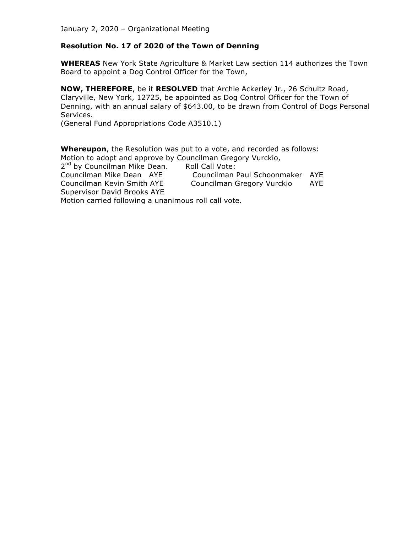## **Resolution No. 17 of 2020 of the Town of Denning**

**WHEREAS** New York State Agriculture & Market Law section 114 authorizes the Town Board to appoint a Dog Control Officer for the Town,

**NOW, THEREFORE**, be it **RESOLVED** that Archie Ackerley Jr., 26 Schultz Road, Claryville, New York, 12725, be appointed as Dog Control Officer for the Town of Denning, with an annual salary of \$643.00, to be drawn from Control of Dogs Personal Services.

(General Fund Appropriations Code A3510.1)

**Whereupon**, the Resolution was put to a vote, and recorded as follows: Motion to adopt and approve by Councilman Gregory Vurckio, 2<sup>nd</sup> by Councilman Mike Dean. Roll Call Vote: Councilman Mike Dean AYE Councilman Paul Schoonmaker AYE Councilman Kevin Smith AYE Councilman Gregory Vurckio AYE Supervisor David Brooks AYE Motion carried following a unanimous roll call vote.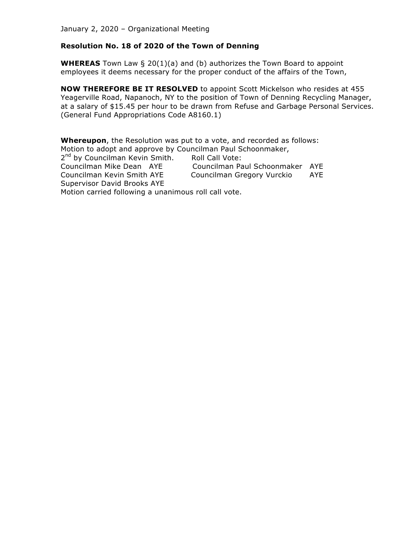## **Resolution No. 18 of 2020 of the Town of Denning**

**WHEREAS** Town Law § 20(1)(a) and (b) authorizes the Town Board to appoint employees it deems necessary for the proper conduct of the affairs of the Town,

**NOW THEREFORE BE IT RESOLVED** to appoint Scott Mickelson who resides at 455 Yeagerville Road, Napanoch, NY to the position of Town of Denning Recycling Manager, at a salary of \$15.45 per hour to be drawn from Refuse and Garbage Personal Services. (General Fund Appropriations Code A8160.1)

**Whereupon**, the Resolution was put to a vote, and recorded as follows: Motion to adopt and approve by Councilman Paul Schoonmaker, 2<sup>nd</sup> by Councilman Kevin Smith. Roll Call Vote: Councilman Mike Dean AYE Councilman Paul Schoonmaker AYE Councilman Kevin Smith AYE Councilman Gregory Vurckio AYE Supervisor David Brooks AYE Motion carried following a unanimous roll call vote.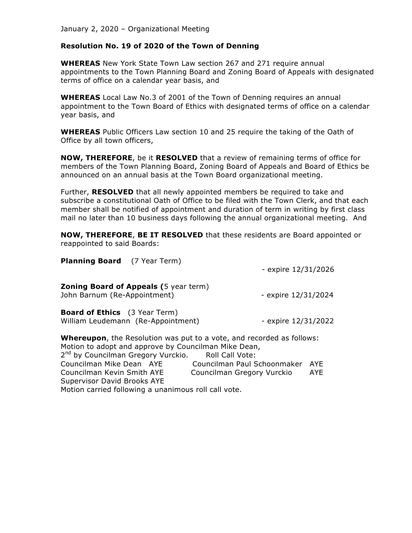#### **Resolution No. 19 of 2020 of the Town of Denning**

**WHEREAS** New York State Town Law section 267 and 271 require annual appointments to the Town Planning Board and Zoning Board of Appeals with designated terms of office on a calendar year basis, and

**WHEREAS** Local Law No.3 of 2001 of the Town of Denning requires an annual appointment to the Town Board of Ethics with designated terms of office on a calendar year basis, and

**WHEREAS** Public Officers Law section 10 and 25 require the taking of the Oath of Office by all town officers,

**NOW, THEREFORE**, be it **RESOLVED** that a review of remaining terms of office for members of the Town Planning Board, Zoning Board of Appeals and Board of Ethics be announced on an annual basis at the Town Board organizational meeting.

Further, **RESOLVED** that all newly appointed members be required to take and subscribe a constitutional Oath of Office to be filed with the Town Clerk, and that each member shall be notified of appointment and duration of term in writing by first class mail no later than 10 business days following the annual organizational meeting. And

**NOW, THEREFORE**, **BE IT RESOLVED** that these residents are Board appointed or reappointed to said Boards:

| <b>Planning Board</b> (7 Year Term)                                                                                                                                                                     | - expire $12/31/2026$              |
|---------------------------------------------------------------------------------------------------------------------------------------------------------------------------------------------------------|------------------------------------|
| <b>Zoning Board of Appeals (5 year term)</b><br>John Barnum (Re-Appointment)                                                                                                                            | - expire 12/31/2024                |
| <b>Board of Ethics</b> (3 Year Term)<br>William Leudemann (Re-Appointment)                                                                                                                              | - expire 12/31/2022                |
| <b>Whereupon</b> , the Resolution was put to a vote, and recorded as follows:<br>Motion to adopt and approve by Councilman Mike Dean,<br>2 <sup>nd</sup> by Councilman Gregory Vurckio. Roll Call Vote: |                                    |
| Councilman Mike Dean AYE                                                                                                                                                                                | AYE<br>Councilman Paul Schoonmaker |
| Councilman Kevin Smith AYE                                                                                                                                                                              | Councilman Gregory Vurckio<br>AYE  |

Supervisor David Brooks AYE

Motion carried following a unanimous roll call vote.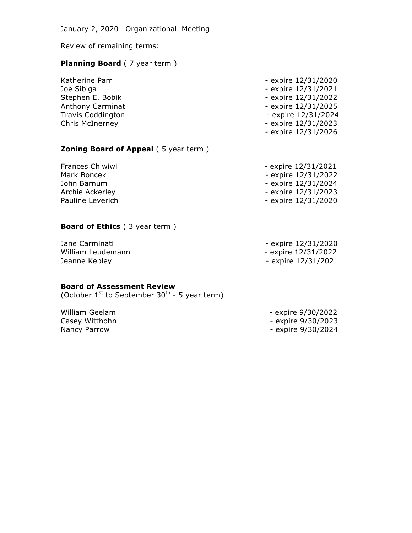Review of remaining terms:

# **Planning Board** (7 year term)

| Katherine Parr           | - expire 12/31/2020 |
|--------------------------|---------------------|
| Joe Sibiga               | - expire 12/31/2021 |
| Stephen E. Bobik         | - expire 12/31/2022 |
| Anthony Carminati        | - expire 12/31/2025 |
| <b>Travis Coddington</b> | - expire 12/31/2024 |
| <b>Chris McInerney</b>   | - expire 12/31/2023 |
|                          | - expire 12/31/2026 |

# **Zoning Board of Appeal** (5 year term)

| - expire 12/31/2021 |
|---------------------|
| - expire 12/31/2022 |
| - expire 12/31/2024 |
| - expire 12/31/2023 |
| - expire 12/31/2020 |
|                     |

## **Board of Ethics** (3 year term)

| - expire 12/31/2020 |
|---------------------|
| - expire 12/31/2022 |
| - expire 12/31/2021 |
|                     |

#### **Board of Assessment Review**

(October  $1^{st}$  to September 30<sup>th</sup> - 5 year term)

| - expire 9/30/2022 |
|--------------------|
| - expire 9/30/2023 |
| - expire 9/30/2024 |
|                    |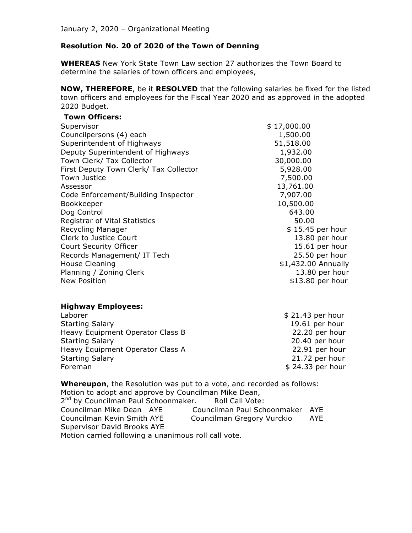## **Resolution No. 20 of 2020 of the Town of Denning**

**WHEREAS** New York State Town Law section 27 authorizes the Town Board to determine the salaries of town officers and employees,

**NOW, THEREFORE**, be it **RESOLVED** that the following salaries be fixed for the listed town officers and employees for the Fiscal Year 2020 and as approved in the adopted 2020 Budget.

#### **Town Officers:**

| Supervisor                             | \$17,000.00         |
|----------------------------------------|---------------------|
| Councilpersons (4) each                | 1,500.00            |
| Superintendent of Highways             | 51,518.00           |
| Deputy Superintendent of Highways      | 1,932.00            |
| Town Clerk/ Tax Collector              | 30,000.00           |
| First Deputy Town Clerk/ Tax Collector | 5,928.00            |
| Town Justice                           | 7,500.00            |
| Assessor                               | 13,761.00           |
| Code Enforcement/Building Inspector    | 7,907.00            |
| Bookkeeper                             | 10,500.00           |
| Dog Control                            | 643.00              |
| <b>Registrar of Vital Statistics</b>   | 50.00               |
| Recycling Manager                      | \$15.45 per hour    |
| Clerk to Justice Court                 | 13.80 per hour      |
| Court Security Officer                 | 15.61 per hour      |
| Records Management/ IT Tech            | 25.50 per hour      |
| House Cleaning                         | \$1,432.00 Annually |
| Planning / Zoning Clerk                | 13.80 per hour      |
| New Position                           | \$13.80 per hour    |

#### **Highway Employees:**

| Laborer                          | $$21.43$ per hour |
|----------------------------------|-------------------|
| <b>Starting Salary</b>           | 19.61 per hour    |
| Heavy Equipment Operator Class B | 22.20 per hour    |
| <b>Starting Salary</b>           | 20.40 per hour    |
| Heavy Equipment Operator Class A | 22.91 per hour    |
| <b>Starting Salary</b>           | 21.72 per hour    |
| Foreman                          | \$24.33 per hour  |

**Whereupon**, the Resolution was put to a vote, and recorded as follows: Motion to adopt and approve by Councilman Mike Dean, 2<sup>nd</sup> by Councilman Paul Schoonmaker. Roll Call Vote: Councilman Mike Dean AYE Councilman Paul Schoonmaker AYE Councilman Kevin Smith AYE Councilman Gregory Vurckio AYE Supervisor David Brooks AYE Motion carried following a unanimous roll call vote.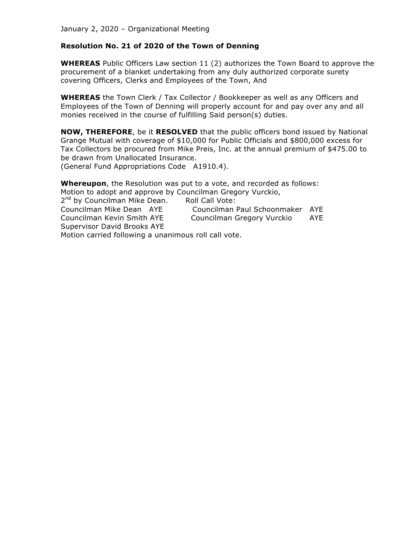#### **Resolution No. 21 of 2020 of the Town of Denning**

**WHEREAS** Public Officers Law section 11 (2) authorizes the Town Board to approve the procurement of a blanket undertaking from any duly authorized corporate surety covering Officers, Clerks and Employees of the Town, And

**WHEREAS** the Town Clerk / Tax Collector / Bookkeeper as well as any Officers and Employees of the Town of Denning will properly account for and pay over any and all monies received in the course of fulfilling Said person(s) duties.

**NOW, THEREFORE**, be it **RESOLVED** that the public officers bond issued by National Grange Mutual with coverage of \$10,000 for Public Officials and \$800,000 excess for Tax Collectors be procured from Mike Preis, Inc. at the annual premium of \$475.00 to be drawn from Unallocated Insurance.

(General Fund Appropriations Code A1910.4).

**Whereupon**, the Resolution was put to a vote, and recorded as follows: Motion to adopt and approve by Councilman Gregory Vurckio, 2<sup>nd</sup> by Councilman Mike Dean. Roll Call Vote: Councilman Mike Dean AYE Councilman Paul Schoonmaker AYE Councilman Kevin Smith AYE Councilman Gregory Vurckio AYE

Supervisor David Brooks AYE

Motion carried following a unanimous roll call vote.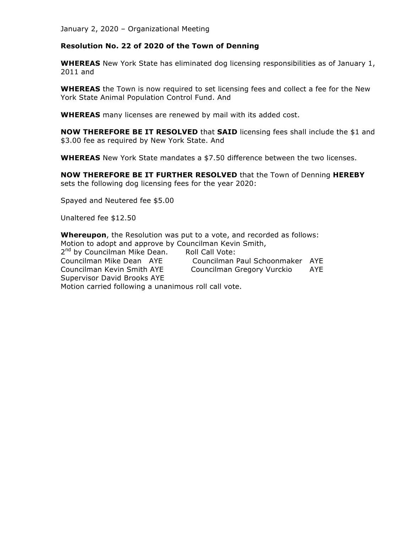#### **Resolution No. 22 of 2020 of the Town of Denning**

**WHEREAS** New York State has eliminated dog licensing responsibilities as of January 1, 2011 and

**WHEREAS** the Town is now required to set licensing fees and collect a fee for the New York State Animal Population Control Fund. And

**WHEREAS** many licenses are renewed by mail with its added cost.

**NOW THEREFORE BE IT RESOLVED** that **SAID** licensing fees shall include the \$1 and \$3.00 fee as required by New York State. And

**WHEREAS** New York State mandates a \$7.50 difference between the two licenses.

**NOW THEREFORE BE IT FURTHER RESOLVED** that the Town of Denning **HEREBY** sets the following dog licensing fees for the year 2020:

Spayed and Neutered fee \$5.00

Unaltered fee \$12.50

**Whereupon**, the Resolution was put to a vote, and recorded as follows: Motion to adopt and approve by Councilman Kevin Smith, 2<sup>nd</sup> by Councilman Mike Dean. Roll Call Vote: Councilman Mike Dean AYE Councilman Paul Schoonmaker AYE Councilman Kevin Smith AYE Councilman Gregory Vurckio AYE Supervisor David Brooks AYE Motion carried following a unanimous roll call vote.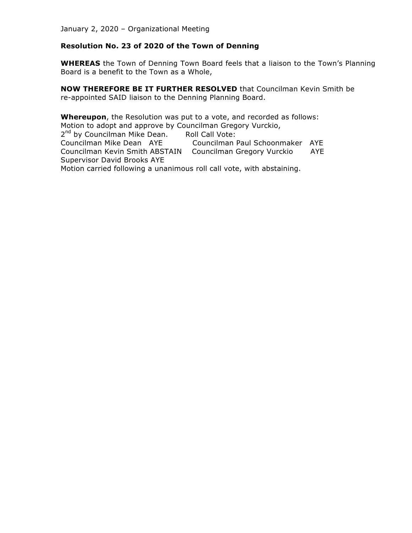## **Resolution No. 23 of 2020 of the Town of Denning**

**WHEREAS** the Town of Denning Town Board feels that a liaison to the Town's Planning Board is a benefit to the Town as a Whole,

**NOW THEREFORE BE IT FURTHER RESOLVED** that Councilman Kevin Smith be re-appointed SAID liaison to the Denning Planning Board.

**Whereupon**, the Resolution was put to a vote, and recorded as follows: Motion to adopt and approve by Councilman Gregory Vurckio, 2<sup>nd</sup> by Councilman Mike Dean. Roll Call Vote: Councilman Mike Dean AYE Councilman Paul Schoonmaker AYE Councilman Kevin Smith ABSTAIN Councilman Gregory Vurckio AYE Supervisor David Brooks AYE

Motion carried following a unanimous roll call vote, with abstaining.